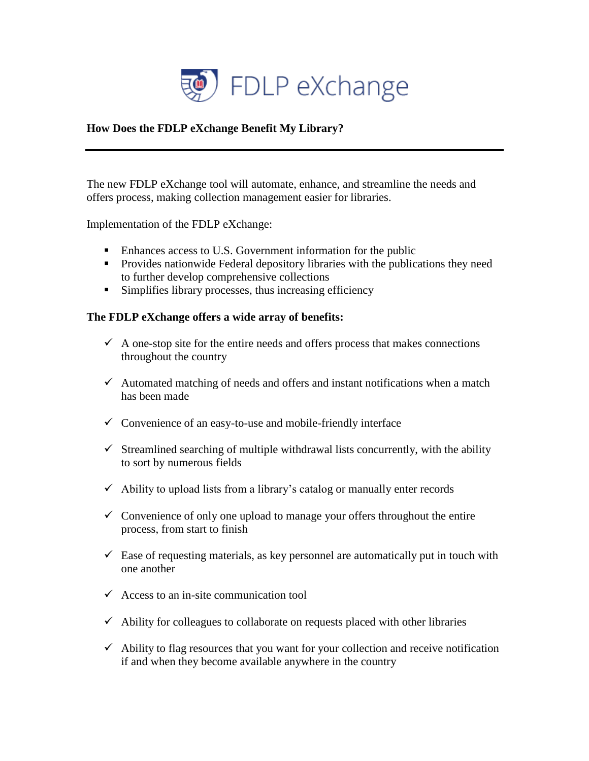

## **How Does the FDLP eXchange Benefit My Library?**

The new FDLP eXchange tool will automate, enhance, and streamline the needs and offers process, making collection management easier for libraries.

Implementation of the FDLP eXchange:

- **Enhances access to U.S. Government information for the public**
- **Provides nationwide Federal depository libraries with the publications they need** to further develop comprehensive collections
- Simplifies library processes, thus increasing efficiency

## **The FDLP eXchange offers a wide array of benefits:**

- $\checkmark$  A one-stop site for the entire needs and offers process that makes connections throughout the country
- $\checkmark$  Automated matching of needs and offers and instant notifications when a match has been made
- $\checkmark$  Convenience of an easy-to-use and mobile-friendly interface
- $\checkmark$  Streamlined searching of multiple withdrawal lists concurrently, with the ability to sort by numerous fields
- $\checkmark$  Ability to upload lists from a library's catalog or manually enter records
- $\checkmark$  Convenience of only one upload to manage your offers throughout the entire process, from start to finish
- $\checkmark$  Ease of requesting materials, as key personnel are automatically put in touch with one another
- $\checkmark$  Access to an in-site communication tool
- $\checkmark$  Ability for colleagues to collaborate on requests placed with other libraries
- $\checkmark$  Ability to flag resources that you want for your collection and receive notification if and when they become available anywhere in the country